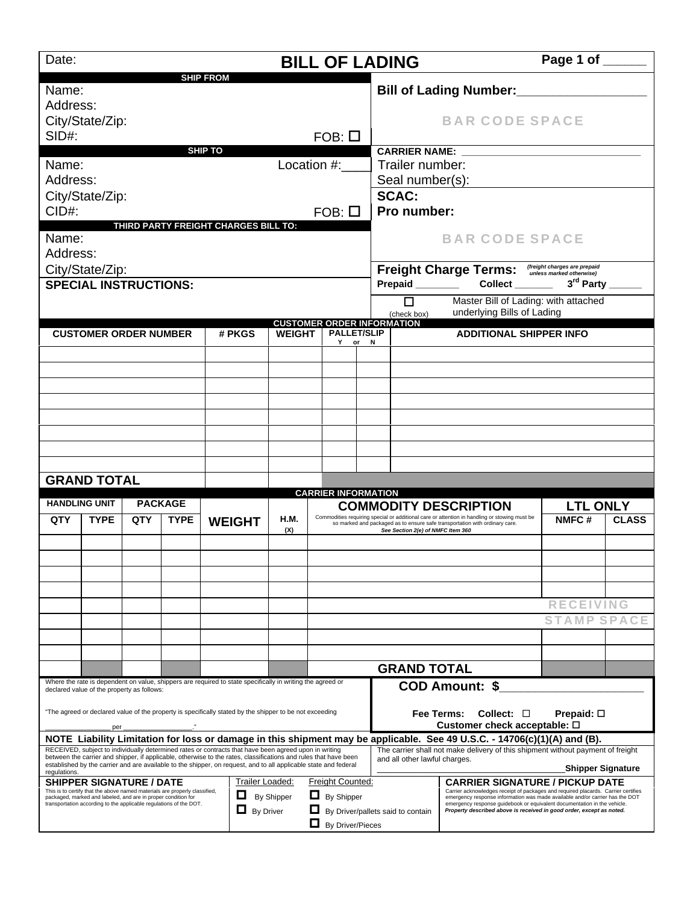| Date:                |                                                                                                                                                                                                                                                      |     |                |                                                                                                                                                                                                                                                                                                                                               | <b>BILL OF LADING</b>             |                                                                         |                              |                                          |                                                                                                                                                                                                                                                                                                                                                                 | Page 1 of ______   |                          |  |  |
|----------------------|------------------------------------------------------------------------------------------------------------------------------------------------------------------------------------------------------------------------------------------------------|-----|----------------|-----------------------------------------------------------------------------------------------------------------------------------------------------------------------------------------------------------------------------------------------------------------------------------------------------------------------------------------------|-----------------------------------|-------------------------------------------------------------------------|------------------------------|------------------------------------------|-----------------------------------------------------------------------------------------------------------------------------------------------------------------------------------------------------------------------------------------------------------------------------------------------------------------------------------------------------------------|--------------------|--------------------------|--|--|
| Name:<br>Address:    |                                                                                                                                                                                                                                                      |     |                | <b>SHIP FROM</b>                                                                                                                                                                                                                                                                                                                              |                                   |                                                                         |                              |                                          | <b>Bill of Lading Number:</b>                                                                                                                                                                                                                                                                                                                                   |                    |                          |  |  |
| SID#:                | City/State/Zip:                                                                                                                                                                                                                                      |     |                |                                                                                                                                                                                                                                                                                                                                               |                                   |                                                                         |                              |                                          | <b>BAR CODE SPACE</b>                                                                                                                                                                                                                                                                                                                                           |                    |                          |  |  |
|                      |                                                                                                                                                                                                                                                      |     |                | <b>SHIP TO</b>                                                                                                                                                                                                                                                                                                                                | $FOB: \Box$                       |                                                                         |                              |                                          | <b>CARRIER NAME:</b>                                                                                                                                                                                                                                                                                                                                            |                    |                          |  |  |
| Location #:<br>Name: |                                                                                                                                                                                                                                                      |     |                |                                                                                                                                                                                                                                                                                                                                               |                                   |                                                                         | Trailer number:              |                                          |                                                                                                                                                                                                                                                                                                                                                                 |                    |                          |  |  |
| Address:             |                                                                                                                                                                                                                                                      |     |                |                                                                                                                                                                                                                                                                                                                                               |                                   |                                                                         |                              | Seal number(s):                          |                                                                                                                                                                                                                                                                                                                                                                 |                    |                          |  |  |
|                      | City/State/Zip:                                                                                                                                                                                                                                      |     |                |                                                                                                                                                                                                                                                                                                                                               |                                   |                                                                         |                              | <b>SCAC:</b>                             |                                                                                                                                                                                                                                                                                                                                                                 |                    |                          |  |  |
| CID#:                |                                                                                                                                                                                                                                                      |     |                | THIRD PARTY FREIGHT CHARGES BILL TO:                                                                                                                                                                                                                                                                                                          |                                   | $FOB: \Box$                                                             |                              | Pro number:                              |                                                                                                                                                                                                                                                                                                                                                                 |                    |                          |  |  |
| Name:<br>Address:    |                                                                                                                                                                                                                                                      |     |                |                                                                                                                                                                                                                                                                                                                                               |                                   |                                                                         |                              |                                          | <b>BAR CODE SPACE</b>                                                                                                                                                                                                                                                                                                                                           |                    |                          |  |  |
|                      | City/State/Zip:                                                                                                                                                                                                                                      |     |                |                                                                                                                                                                                                                                                                                                                                               |                                   |                                                                         |                              |                                          | Freight Charge Terms: (freight charges are prepaid                                                                                                                                                                                                                                                                                                              |                    |                          |  |  |
|                      | <b>SPECIAL INSTRUCTIONS:</b>                                                                                                                                                                                                                         |     |                |                                                                                                                                                                                                                                                                                                                                               |                                   |                                                                         |                              | 3rd Party<br>Collect<br>Prepaid ________ |                                                                                                                                                                                                                                                                                                                                                                 |                    |                          |  |  |
|                      |                                                                                                                                                                                                                                                      |     |                |                                                                                                                                                                                                                                                                                                                                               |                                   |                                                                         |                              | п                                        | Master Bill of Lading: with attached                                                                                                                                                                                                                                                                                                                            |                    |                          |  |  |
|                      |                                                                                                                                                                                                                                                      |     |                |                                                                                                                                                                                                                                                                                                                                               | <b>CUSTOMER ORDER INFORMATION</b> |                                                                         |                              | (check box)                              | underlying Bills of Lading                                                                                                                                                                                                                                                                                                                                      |                    |                          |  |  |
|                      | <b>CUSTOMER ORDER NUMBER</b>                                                                                                                                                                                                                         |     |                | # PKGS                                                                                                                                                                                                                                                                                                                                        | <b>WEIGHT</b>                     |                                                                         | <b>PALLET/SLIP</b><br>Y or N |                                          | <b>ADDITIONAL SHIPPER INFO</b>                                                                                                                                                                                                                                                                                                                                  |                    |                          |  |  |
|                      |                                                                                                                                                                                                                                                      |     |                |                                                                                                                                                                                                                                                                                                                                               |                                   |                                                                         |                              |                                          |                                                                                                                                                                                                                                                                                                                                                                 |                    |                          |  |  |
|                      |                                                                                                                                                                                                                                                      |     |                |                                                                                                                                                                                                                                                                                                                                               |                                   |                                                                         |                              |                                          |                                                                                                                                                                                                                                                                                                                                                                 |                    |                          |  |  |
|                      |                                                                                                                                                                                                                                                      |     |                |                                                                                                                                                                                                                                                                                                                                               |                                   |                                                                         |                              |                                          |                                                                                                                                                                                                                                                                                                                                                                 |                    |                          |  |  |
|                      |                                                                                                                                                                                                                                                      |     |                |                                                                                                                                                                                                                                                                                                                                               |                                   |                                                                         |                              |                                          |                                                                                                                                                                                                                                                                                                                                                                 |                    |                          |  |  |
|                      |                                                                                                                                                                                                                                                      |     |                |                                                                                                                                                                                                                                                                                                                                               |                                   |                                                                         |                              |                                          |                                                                                                                                                                                                                                                                                                                                                                 |                    |                          |  |  |
|                      |                                                                                                                                                                                                                                                      |     |                |                                                                                                                                                                                                                                                                                                                                               |                                   |                                                                         |                              |                                          |                                                                                                                                                                                                                                                                                                                                                                 |                    |                          |  |  |
|                      |                                                                                                                                                                                                                                                      |     |                |                                                                                                                                                                                                                                                                                                                                               |                                   |                                                                         |                              |                                          |                                                                                                                                                                                                                                                                                                                                                                 |                    |                          |  |  |
|                      | <b>GRAND TOTAL</b>                                                                                                                                                                                                                                   |     |                |                                                                                                                                                                                                                                                                                                                                               |                                   |                                                                         |                              |                                          |                                                                                                                                                                                                                                                                                                                                                                 |                    |                          |  |  |
|                      | <b>HANDLING UNIT</b>                                                                                                                                                                                                                                 |     | <b>PACKAGE</b> |                                                                                                                                                                                                                                                                                                                                               |                                   | <b>CARRIER INFORMATION</b>                                              |                              |                                          | <b>COMMODITY DESCRIPTION</b>                                                                                                                                                                                                                                                                                                                                    | <b>LTL ONLY</b>    |                          |  |  |
| QTY                  | <b>TYPE</b>                                                                                                                                                                                                                                          | QTY | <b>TYPE</b>    | <b>WEIGHT</b>                                                                                                                                                                                                                                                                                                                                 | H.M.<br>(X)                       |                                                                         |                              |                                          | Commodities requiring special or additional care or attention in handling or stowing must be<br>so marked and packaged as to ensure safe transportation with ordinary care.                                                                                                                                                                                     | NMFC#              | <b>CLASS</b>             |  |  |
|                      |                                                                                                                                                                                                                                                      |     |                |                                                                                                                                                                                                                                                                                                                                               |                                   |                                                                         |                              | See Section 2(e) of NMFC Item 360        |                                                                                                                                                                                                                                                                                                                                                                 |                    |                          |  |  |
|                      |                                                                                                                                                                                                                                                      |     |                |                                                                                                                                                                                                                                                                                                                                               |                                   |                                                                         |                              |                                          |                                                                                                                                                                                                                                                                                                                                                                 |                    |                          |  |  |
|                      |                                                                                                                                                                                                                                                      |     |                |                                                                                                                                                                                                                                                                                                                                               |                                   |                                                                         |                              |                                          |                                                                                                                                                                                                                                                                                                                                                                 |                    |                          |  |  |
|                      |                                                                                                                                                                                                                                                      |     |                |                                                                                                                                                                                                                                                                                                                                               |                                   |                                                                         |                              |                                          |                                                                                                                                                                                                                                                                                                                                                                 |                    |                          |  |  |
|                      |                                                                                                                                                                                                                                                      |     |                |                                                                                                                                                                                                                                                                                                                                               |                                   |                                                                         |                              |                                          |                                                                                                                                                                                                                                                                                                                                                                 | <b>RECEIVING</b>   |                          |  |  |
|                      |                                                                                                                                                                                                                                                      |     |                |                                                                                                                                                                                                                                                                                                                                               |                                   |                                                                         |                              |                                          |                                                                                                                                                                                                                                                                                                                                                                 | <b>STAMP SPACE</b> |                          |  |  |
|                      |                                                                                                                                                                                                                                                      |     |                |                                                                                                                                                                                                                                                                                                                                               |                                   |                                                                         |                              |                                          |                                                                                                                                                                                                                                                                                                                                                                 |                    |                          |  |  |
|                      |                                                                                                                                                                                                                                                      |     |                |                                                                                                                                                                                                                                                                                                                                               |                                   |                                                                         |                              |                                          |                                                                                                                                                                                                                                                                                                                                                                 |                    |                          |  |  |
|                      |                                                                                                                                                                                                                                                      |     |                | Where the rate is dependent on value, shippers are required to state specifically in writing the agreed or                                                                                                                                                                                                                                    |                                   |                                                                         |                              | <b>GRAND TOTAL</b>                       |                                                                                                                                                                                                                                                                                                                                                                 |                    |                          |  |  |
|                      | declared value of the property as follows:                                                                                                                                                                                                           |     |                |                                                                                                                                                                                                                                                                                                                                               |                                   |                                                                         |                              |                                          | <b>COD Amount: \$</b>                                                                                                                                                                                                                                                                                                                                           |                    |                          |  |  |
|                      | per.                                                                                                                                                                                                                                                 |     |                | "The agreed or declared value of the property is specifically stated by the shipper to be not exceeding                                                                                                                                                                                                                                       |                                   |                                                                         |                              |                                          | Collect: $\square$<br>Fee Terms:<br>Customer check acceptable: □                                                                                                                                                                                                                                                                                                | Prepaid: $\square$ |                          |  |  |
|                      |                                                                                                                                                                                                                                                      |     |                |                                                                                                                                                                                                                                                                                                                                               |                                   |                                                                         |                              |                                          | NOTE Liability Limitation for loss or damage in this shipment may be applicable. See 49 U.S.C. - 14706(c)(1)(A) and (B).                                                                                                                                                                                                                                        |                    |                          |  |  |
| regulations.         |                                                                                                                                                                                                                                                      |     |                | RECEIVED, subject to individually determined rates or contracts that have been agreed upon in writing<br>between the carrier and shipper, if applicable, otherwise to the rates, classifications and rules that have been<br>established by the carrier and are available to the shipper, on request, and to all applicable state and federal |                                   |                                                                         |                              | and all other lawful charges.            | The carrier shall not make delivery of this shipment without payment of freight                                                                                                                                                                                                                                                                                 |                    | <b>Shipper Signature</b> |  |  |
|                      | <b>SHIPPER SIGNATURE / DATE</b><br>This is to certify that the above named materials are properly classified,<br>packaged, marked and labeled, and are in proper condition for<br>transportation according to the applicable regulations of the DOT. |     |                | Trailer Loaded:<br>口<br>$\Box$ By Driver                                                                                                                                                                                                                                                                                                      | By Shipper                        | <b>Freight Counted:</b><br>$\Box$ By Shipper<br>$\Box$ By Driver/Pieces |                              | By Driver/pallets said to contain        | <b>CARRIER SIGNATURE / PICKUP DATE</b><br>Carrier acknowledges receipt of packages and required placards. Carrier certifies<br>emergency response information was made available and/or carrier has the DOT<br>emergency response guidebook or equivalent documentation in the vehicle.<br>Property described above is received in good order, except as noted. |                    |                          |  |  |